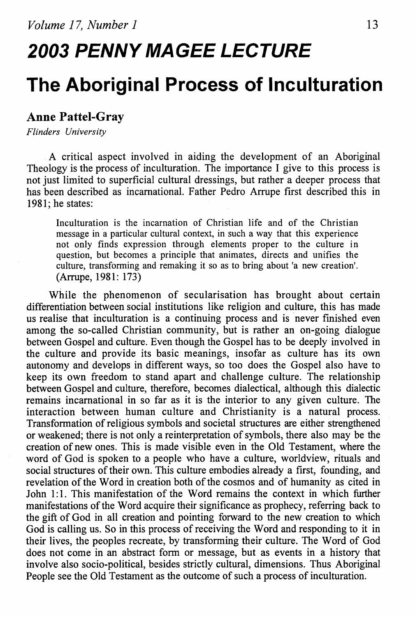# **2003 PENNY MAGEE LECTURE**

# **The Aboriginal Process of lnculturation**

#### **Anne Pattel-Gray**

*Flinders University* 

A critical aspect involved in aiding the development of an Aboriginal Theology is the process of inculturation. The importance I give to this process is not just limited to superficial cultural dressings, but rather a deeper process that has been described as incamational. Father Pedro Arrupe first described this in 1981; he states:

Inculturation is the incarnation of Christian life and of the Christian message in a particular cultural context, in such a way that this experience not only finds expression through elements proper to the culture in question, but becomes a principle that animates, directs and unifies the culture, transforming and remaking it so as to bring about 'a new creation'. (Arrupe, 1981: 173)

While the phenomenon of secularisation has brought about certain differentiation between social institutions like religion and culture, this has made us realise that inculturation is a continuing process and is never fmished even among the so-called Christian community, but is rather an on-going dialogue between Gospel and culture. Even though the Gospel has to be deeply involved in the culture and provide its basic meanings, insofar as culture has its own autonomy and develops in different ways, so too does the Gospel also have to keep its own freedom to stand apart and challenge culture. The relationship between Gospel and culture, therefore, becomes dialectical, although this dialectic remains incamational in so far as it is the interior to any given culture. The interaction between human culture and Christianity is a natural process. Transformation of religious symbols and societal structures are either strengthened or weakened; there is not only a reinterpretation of symbols, there also may be the creation of new ones. This is made visible even in the Old Testament, where the word of God is spoken to a people who have a culture, worldview, rituals and social structures of their own. This culture embodies already a first, founding, and revelation of the Word in creation both of the cosmos and of humanity as cited in John 1:1. This manifestation of the Word remains the context in which further manifestations of the Word acquire their significance as prophecy, referring back to the gift of God in all creation and pointing forward to the new creation to which God is calling us. So in this process of receiving the Word and responding to it in their lives, the peoples recreate, by transforming their culture. The Word of God does not come in an abstract form or message, but as events in a history that involve also socio-political, besides strictly cultural, dimensions. Thus Aboriginal People see the Old Testament as the outcome of such a process of inculturation.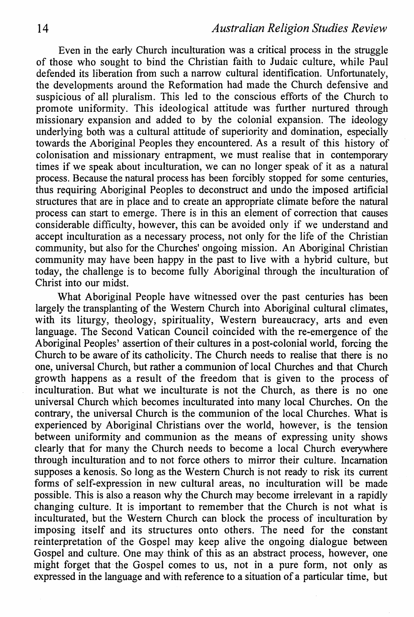Even in the early Church inculturation was a critical process in the struggle of those who sought to bind the Christian faith to Judaic culture, while Paul defended its liberation from such a narrow cultural identification. Unfortunately, the developments around the Reformation had made the Church defensive and suspicious of all pluralism. This led to the conscious efforts of the Church to promote uniformity. This ideological attitude was further nurtured through missionary expansion and added to by the colonial expansion. The ideology underlying both was a cultural attitude of superiority and domination, especially towards the Aboriginal Peoples they encountered. As a result of this history of colonisation and missionary entrapment, we must realise that in contemporary times if we speak about inculturation, we can no longer speak of it as a natural process. Because the natural process has been forcibly stopped for some centuries, thus requiring Aboriginal Peoples to deconstruct and undo the imposed artificial structures that are in place and to create an appropriate climate before the natural process can start to emerge. There is in this an element of correction that causes considerable difficulty, however, this can be avoided only if we understand and accept inculturation as a necessary process, not only for the life of the Christian community, but also for the Churches' ongoing mission. An Aboriginal Christian community may have been happy in the past to live with a hybrid culture, but today, the challenge is to become fully Aboriginal through the inculturation of Christ into our midst.

What Aboriginal People have witnessed over the past centuries has been largely the transplanting of the Western Church into Aboriginal cultural climates, with its liturgy, theology, spirituality, Western bureaucracy, arts and even language. The Second Vatican Council coincided with the re-emergence of the Aboriginal Peoples' assertion of their cultures in a post-colonial world, forcing the Church to be aware of its catholicity. The Church needs to realise that there is no one, universal Church, but rather a communion of local Churches and that Church growth happens as a result of the freedom that is given to the process of inculturation. But what we inculturate is not the Church, as there is no one universal Church which becomes inculturated into many local Churches. On the contrary, the universal Church is the communion of the local Churches. What is experienced by Aboriginal Christians over the world, however, is the tension between uniformity and communion as the means of expressing unity shows clearly that for many the Church needs to become a local Church everywhere through inculturation and to not force others to mirror their culture. Incarnation supposes a kenosis. So long as the Western Church is not ready to risk its current forms of self-expression in new cultural areas, no inculturation will be made possible. This is also a reason why the Church may become irrelevant in a rapidly changing culture. It is important to remember that the Church is not what is inculturated, but the Western Church can block the process of inculturation by imposing itself and its structures onto others. The need for the constant reinterpretation of the Gospel may keep alive the ongoing dialogue between Gospel and culture. One may think of this as an abstract process, however, one might forget that the Gospel comes to us, not in a pure form, not only as expressed in the language and with reference to a situation of a particular time, but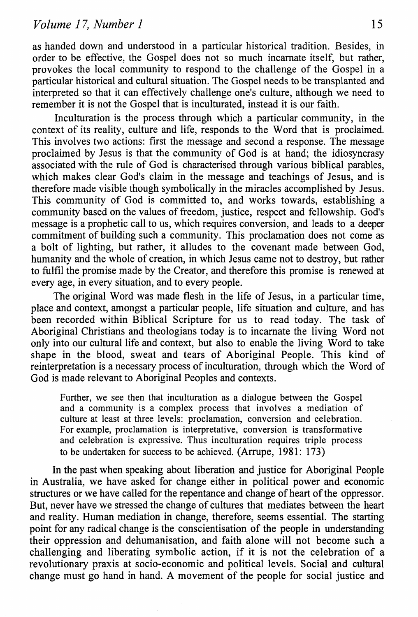as handed down and understood in a particular historical tradition. Besides, in order to be effective, the Gospel does not so much incarnate itself, but rather, provokes the local community to respond to the challenge of the Gospel in a particular historical and cultural situation. The Gospel needs to be transplanted and interpreted so that it can effectively challenge one's culture, although we need to remember it is not the Gospel that is inculturated, instead it is our faith.

Inculturation is the process through which a particular community, in the context of its reality, culture and life, responds to the Word that is proclaimed. This involves two actions: first the message and second a response. The message proclaimed by Jesus is that the community of God is at hand; the idiosyncrasy associated with the rule of God is characterised through various biblical parables, which makes clear God's claim in the message and teachings of Jesus, and is therefore made visible though symbolically in the miracles accomplished by Jesus. This community of God is committed to, and works towards, establishing a community based on the values of freedom, justice, respect and fellowship. God's message is a prophetic call to us, which requires conversion, and leads to a deeper commitment of building such a community. This proclamation does not come as a bolt of lighting, but rather, it alludes to the covenant made between God, humanity and the whole of creation, in which Jesus came not to destroy, but rather to fulfil the promise made by the Creator, and therefore this promise is renewed at every age, in every situation, and to every people.

The original Word was made flesh in the life of Jesus, in a particular time, place and context, amongst a particular people, life situation and culture, and has been recorded within Biblical Scripture for us to read today. The task of Aboriginal Christians and theologians today is to incarnate the living Word not only into our cultural life and context, but also to enable the living Word to take shape in the blood, sweat and tears of Aboriginal People. This kind of reinterpretation is a necessary process of inculturation, through which the Word of God is made relevant to Aboriginal Peoples and contexts.

Further, we see then that inculturation as a dialogue between the Gospel and a community is a complex process that involves a mediation of culture at least at three levels: proclamation, conversion and celebration. For example, proclamation is interpretative, conversion is transformative and celebration is expressive. Thus inculturation requires triple process to be undertaken for success to be achieved. (Arrupe, 1981: 173)

In the past when speaking about liberation and justice for Aboriginal People in Australia, we have asked for change either in political power and economic structures or we have called for the repentance and change of heart of the oppressor. But, never have we stressed the change of cultures that mediates between the heart and reality. Human mediation in change, therefore, seems essential. The starting point for any radical change is the conscientisation of the people in understanding their oppression and dehumanisation, and faith alone will not become such a challenging and liberating symbolic action, if it is not the celebration of a revolutionary praxis at socio-economic and political levels. Social and cultural change must go hand in hand. A movement of the people for social justice and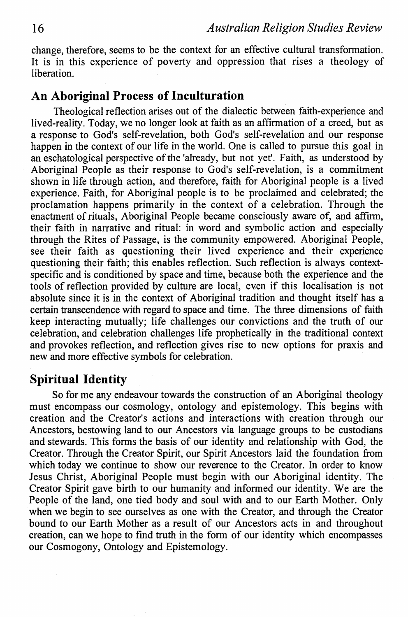change, therefore, seems to be the context for an effective cultural transformation. It is in this experience of poverty and oppression that rises a theology of liberation.

## **An Aboriginal Process of Inculturation**

Theological reflection arises out of the dialectic between faith-experience and lived-reality. Today, we no longer look at faith as an affirmation of a creed, but as a response to God's self-revelation, both God's self-revelation and our response happen in the context of our life in the world. One is called to pursue this goal in an eschatological perspective of the 'already, but not yet'. Faith, as understood by Aboriginal People as their response to God's self~revelation, is a commitment shown in life through action, and therefore, faith for Aboriginal people is a lived experience. Faith, for Aboriginal people is to be proclaimed and celebrated; the proclamation happens primarily in the context of a celebration. Through the enactment of rituals, Aboriginal People became consciously aware of, and affirm, their faith in narrative and ritual: in word and symbolic action and especially through the Rites of Passage, is the community empowered. Aboriginal People, see their faith as questioning their lived experience and their experience questioning their faith; this enables reflection. Such reflection is always contextspecific and is conditioned by space and time, because both the experience and the tools of reflection provided by culture are local, even if this localisation is not absolute since it is in the context of Aboriginal tradition and thought itself has a certain transcendence with regard to space and time. The three dimensions of faith keep interacting mutually; life challenges our convictions and the truth of our celebration, and celebration challenges life prophetically in the traditional context and provokes reflection, and reflection gives rise to new options for praxis and new and more effective symbols for celebration.

# **Spiritual Identity**

So for me any endeavour towards the construction of an Aboriginal theology must encompass our cosmology, ontology and epistemology. This begins with creation and the Creator's actions and interactions with creation through our Ancestors, bestowing land to our Ancestors via language groups to be custodians and stewards. This forms the basis of our identity and relationship with God, the Creator. Through the Creator Spirit, our Spirit Ancestors laid the foundation from which today we continue to show our reverence to the Creator. In order to know Jesus Christ, Aboriginal People must begin with our Aboriginal identity. The Creator Spirit gave birth to our humanity and informed our identity. We are the People of the land, one tied body and soul with and to our Earth Mother. Only when we begin to see ourselves as one with the Creator, and through the Creator bound to our Earth Mother as a result of our Ancestors acts in and throughout creation, can we hope to find truth in the form of our identity which encompasses our Cosmogony, Ontology and Epistemology.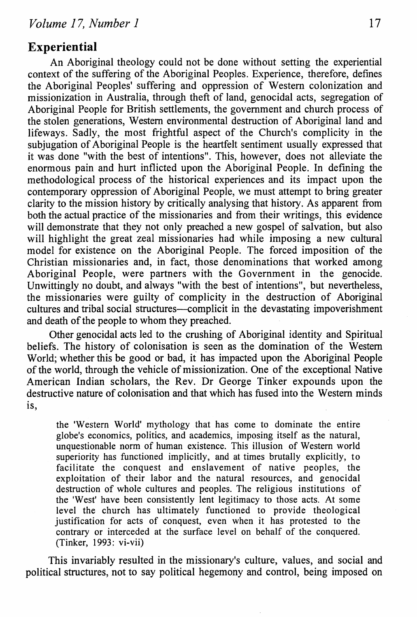#### **Experiential**

An Aboriginal theology could not be done without setting the experiential context of the suffering of the Aboriginal Peoples. Experience, therefore, defines the Aboriginal Peoples' suffering and oppression of Western colonization and missionization in Australia, through theft of land, genocidal acts, segregation of Aboriginal People for British settlements, the government and church process of the stolen generations, Western environmental destruction of Aboriginal land and lifeways. Sadly, the most frightful aspect of the Church's complicity in the subjugation of Aboriginal People is the heartfelt sentiment usually expressed that it was done "with the best of intentions". This, however, does not alleviate the enormous pain and hurt inflicted upon the Aboriginal People. In defining the methodological process of the historical experiences and its impact upon the contemporary oppression of Aboriginal People, we must attempt to bring greater clarity to the mission history by critically analysing that history. As apparent from both the actual practice of the missionaries and from their writings, this evidence will demonstrate that they not only preached a new gospel of salvation, but also will highlight the great zeal missionaries had while imposing a new cultural model for existence on the Aboriginal People. The forced imposition of the Christian missionaries and, in fact, those denominations that worked among Aboriginal People, were partners with the Government in the genocide. Unwittingly no doubt, and always "with the best of intentions", but nevertheless, the missionaries were guilty of complicity in the destruction of Aboriginal cultures and tribal social structures-complicit in the devastating impoverishment and death of the people to whom they preached.

Other genocidal acts led to the crushing of Aboriginal identity and Spiritual beliefs. The history of colonisation is seen as the domination of the Western World; whether this be good or bad, it has impacted upon the Aboriginal People of the world, through the vehicle of missionization. One of the exceptional Native American Indian scholars, the Rev. Dr George Tinker expounds upon the destructive nature of colonisation and that which has fused into the Western minds is,

the 'Western World' mythology that has come to dominate the entire globe's economics, politics, and academics, imposing itself as the natural, unquestionable norm of human existence. This illusion of Western world superiority has functioned implicitly, and at times brutally explicitly, to facilitate the conquest and enslavement of native peoples, the exploitation of their labor and the natural resources, and genocidal destruction of whole cultures and peoples. The religious institutions of the 'West' have been consistently lent legitimacy to those acts. At some level the church has ultimately functioned to provide theological justification for acts of conquest, even when it has protested to the contrary or interceded at the surface level on behalf of the conquered. (Tinker, 1993: vi-vii)

This invariably resulted in the missionary's culture, values, and social and political structures, not to say political hegemony and control, being imposed on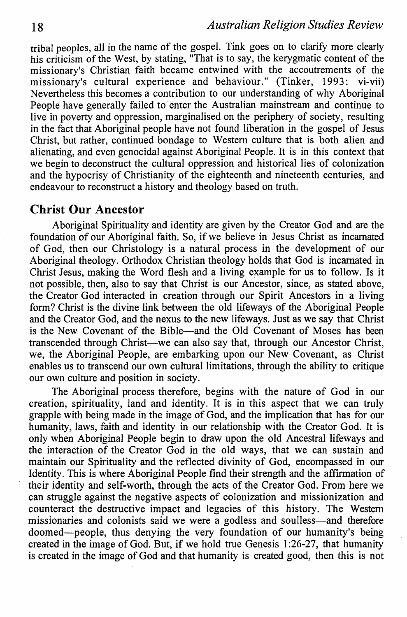tribal peoples, all in the name of the gospel. Tink goes on to clarify more clearly his criticism of the West, by stating, "That is to say, the kerygmatic content of the missionary's Christian faith became entwined with the accoutrements of the missionary's cultural experience and behaviour." (Tinker, 1993: vi-vii) Nevertheless this becomes a contribution to our understanding of why Aboriginal People have generally failed to enter the Australian mainstream and continue to live in poverty and oppression, marginalised on the periphery of society, resulting in the fact that Aboriginal people have not found liberation in the gospel of Jesus Christ, but rather, continued bondage to Western culture that is both alien and alienating, and even genocidal against Aboriginal People. It is in this context that we begin to deconstruct the cultural oppression and historical lies of colonization and the hypocrisy of Christianity of the eighteenth and nineteenth centuries, and endeavour to reconstruct a history and theology based on truth.

#### **Christ Our Ancestor**

Aboriginal Spirituality and identity are given by the Creator God and are the foundation of our Aboriginal faith. So, if we believe in Jesus Christ as incarnated of God, then our Christology is a natural process in the development of our Aboriginal theology. Orthodox Christian theology holds that God is incarnated in Christ Jesus, making the Word flesh and a living example for us to follow. Is it not possible, then, also to say that Christ is our Ancestor, since, as stated above, the Creator God interacted in creation through our Spirit Ancestors in a living form? Christ is the divine link between the old lifeways of the Aboriginal People and the Creator God, and the nexus to the new lifeways. Just as we say that Christ is the New Covenant of the Bible-and the Old Covenant of Moses has been transcended through Christ-we can also say that, through our Ancestor Christ, we, the Aboriginal People, are embarking upon our New Covenant, as Christ enables us to transcend our own cultural limitations, through the ability to critique our own culture and position in society.

The Aboriginal process therefore, begins with the nature of God in our creation, spirituality, land and identity. It is in this aspect that we can truly grapple with being made in the image of God, and the implication that has for our humanity, laws, faith and identity in our relationship with the Creator God. It is only when Aboriginal People begin to draw upon the old Ancestral lifeways and the interaction of the Creator God in the old ways, that we can sustain and maintain our Spirituality and the reflected divinity of God, encompassed in our Identity. This is where Aboriginal People find their strength and the affirmation of their identity and self-worth, through the acts of the Creator God. From here we can struggle against the negative aspects of colonization and missionization and counteract the destructive impact and legacies of this history. The Western missionaries and colonists said we were a godless and soulless-and therefore doomed-people, thus denying the very foundation of our humanity's being created in the image of God. But, if we hold true Genesis 1:26-27, that humanity is created in the image of God and that humanity is created good, then this is not